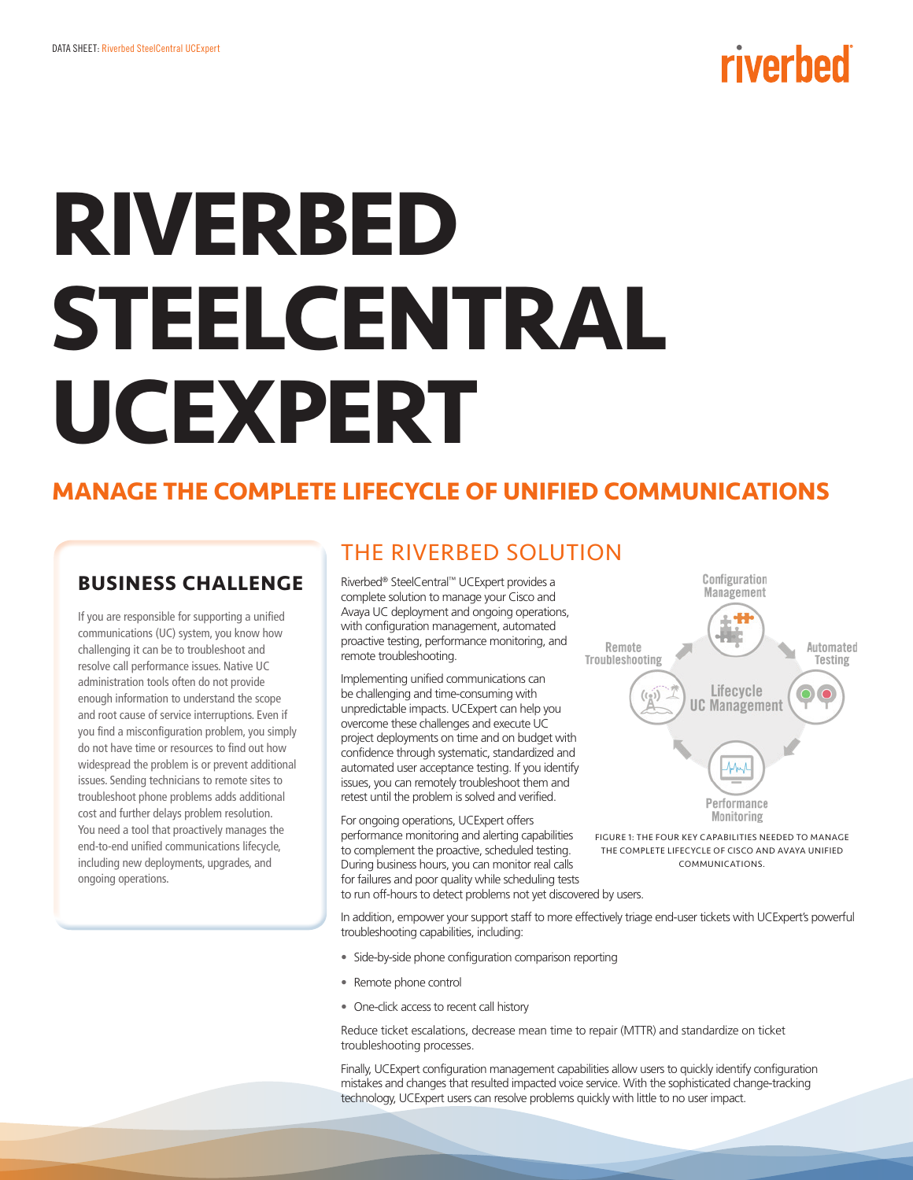# riverbed

# **RIVERBED STEELCENTRAL UCEXPERT**

# **MANAGE THE COMPLETE LIFECYCLE OF UNIFIED COMMUNICATIONS**

## **BUSINESS CHALLENGE**

If you are responsible for supporting a unified communications (UC) system, you know how challenging it can be to troubleshoot and resolve call performance issues. Native UC administration tools often do not provide enough information to understand the scope and root cause of service interruptions. Even if you find a misconfiguration problem, you simply do not have time or resources to find out how widespread the problem is or prevent additional issues. Sending technicians to remote sites to troubleshoot phone problems adds additional cost and further delays problem resolution. You need a tool that proactively manages the end-to-end unified communications lifecycle, including new deployments, upgrades, and ongoing operations.

# THE RIVERBED SOLUTION

Riverbed® SteelCentral™ UCExpert provides a complete solution to manage your Cisco and Avaya UC deployment and ongoing operations, with configuration management, automated proactive testing, performance monitoring, and remote troubleshooting.

Implementing unified communications can be challenging and time-consuming with unpredictable impacts. UCExpert can help you overcome these challenges and execute UC project deployments on time and on budget with confidence through systematic, standardized and automated user acceptance testing. If you identify issues, you can remotely troubleshoot them and retest until the problem is solved and verified.

For ongoing operations, UCExpert offers performance monitoring and alerting capabilities to complement the proactive, scheduled testing. During business hours, you can monitor real calls for failures and poor quality while scheduling tests to run off-hours to detect problems not yet discovered by users.



FIGURE 1: THE FOUR KEY CAPABILITIES NEEDED TO MANAGE THE COMPLETE LIFECYCLE OF CISCO AND AVAYA UNIFIED **COMMUNICATIONS** 

In addition, empower your support staff to more effectively triage end-user tickets with UCExpert's powerful troubleshooting capabilities, including:

- **•** Side-by-side phone configuration comparison reporting
- **•** Remote phone control
- **•** One-click access to recent call history

Reduce ticket escalations, decrease mean time to repair (MTTR) and standardize on ticket troubleshooting processes.

Finally, UCExpert configuration management capabilities allow users to quickly identify configuration mistakes and changes that resulted impacted voice service. With the sophisticated change-tracking technology, UCExpert users can resolve problems quickly with little to no user impact.